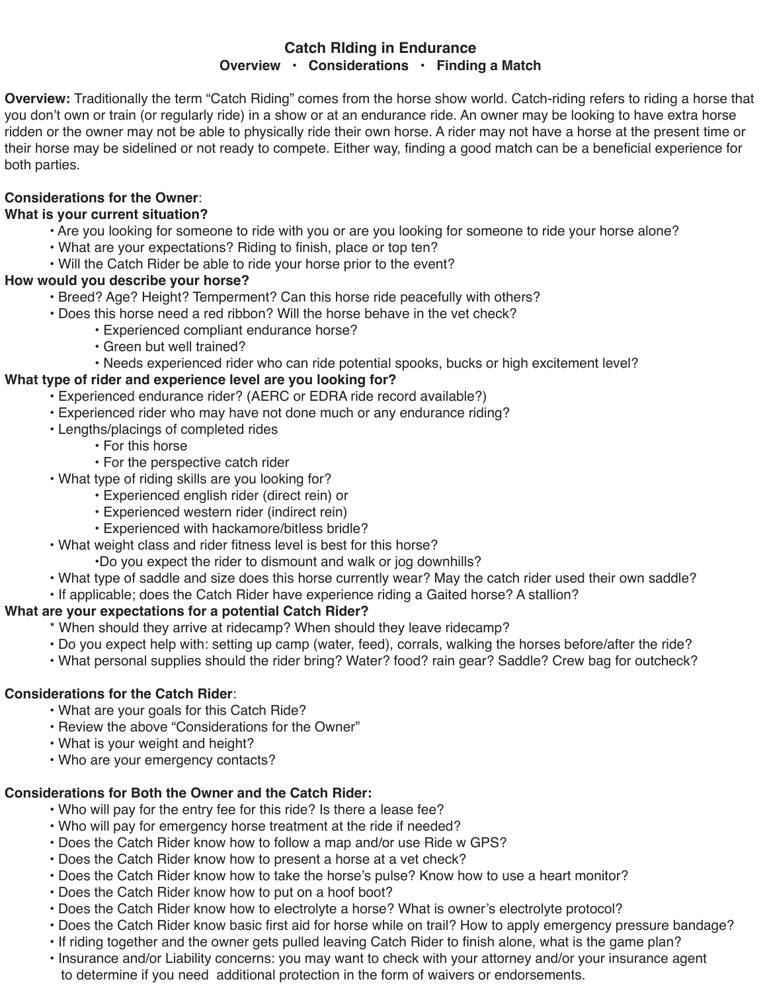#### **Catch RIding in Endurance Overview • Considerations • Finding a Match**

**Overview:** Traditionally the term "Catch Riding" comes from the horse show world. Catch-riding refers to riding a horse that you don't own or train (or regularly ride) in a show or at an endurance ride. An owner may be looking to have extra horse ridden or the owner may not be able to physically ride their own horse. A rider may not have a horse at the present time or their horse may be sidelined or not ready to compete. Either way, finding a good match can be a beneficial experience for both parties.

#### **Considerations for the Owner**:

### **What is your current situation?**

- Are you looking for someone to ride with you or are you looking for someone to ride your horse alone?
- What are your expectations? Riding to finish, place or top ten?
- Will the Catch Rider be able to ride your horse prior to the event?

#### **How would you describe your horse?**

- Breed? Age? Height? Temperment? Can this horse ride peacefully with others?
- Does this horse need a red ribbon? Will the horse behave in the vet check?
	- Experienced compliant endurance horse?
	- Green but well trained?
	- Needs experienced rider who can ride potential spooks, bucks or high excitement level?

# **What type of rider and experience level are you looking for?**

- Experienced endurance rider? (AERC or EDRA ride record available?)
- Experienced rider who may have not done much or any endurance riding?
- Lengths/placings of completed rides
	- For this horse
	- For the perspective catch rider
- What type of riding skills are you looking for?
	- Experienced english rider (direct rein) or
	- Experienced western rider (indirect rein)
	- Experienced with hackamore/bitless bridle?
- What weight class and rider fitness level is best for this horse?
	- •Do you expect the rider to dismount and walk or jog downhills?
- What type of saddle and size does this horse currently wear? May the catch rider used their own saddle?
- If applicable; does the Catch Rider have experience riding a Gaited horse? A stallion?

# **What are your expectations for a potential Catch Rider?**

- \* When should they arrive at ridecamp? When should they leave ridecamp?
- Do you expect help with: setting up camp (water, feed), corrals, walking the horses before/after the ride?
- What personal supplies should the rider bring? Water? food? rain gear? Saddle? Crew bag for outcheck?

# **Considerations for the Catch Rider**:

- What are your goals for this Catch Ride?
- Review the above "Considerations for the Owner"
- What is your weight and height?
- Who are your emergency contacts?

# **Considerations for Both the Owner and the Catch Rider:**

- Who will pay for the entry fee for this ride? Is there a lease fee?
- Who will pay for emergency horse treatment at the ride if needed?
- Does the Catch Rider know how to follow a map and/or use Ride w GPS?
- Does the Catch Rider know how to present a horse at a vet check?
- Does the Catch Rider know how to take the horse's pulse? Know how to use a heart monitor?
- Does the Catch Rider know how to put on a hoof boot?
- Does the Catch Rider know how to electrolyte a horse? What is owner's electrolyte protocol?
- Does the Catch Rider know basic first aid for horse while on trail? How to apply emergency pressure bandage?
- If riding together and the owner gets pulled leaving Catch Rider to finish alone, what is the game plan?
- Insurance and/or Liability concerns: you may want to check with your attorney and/or your insurance agent to determine if you need additional protection in the form of waivers or endorsements.